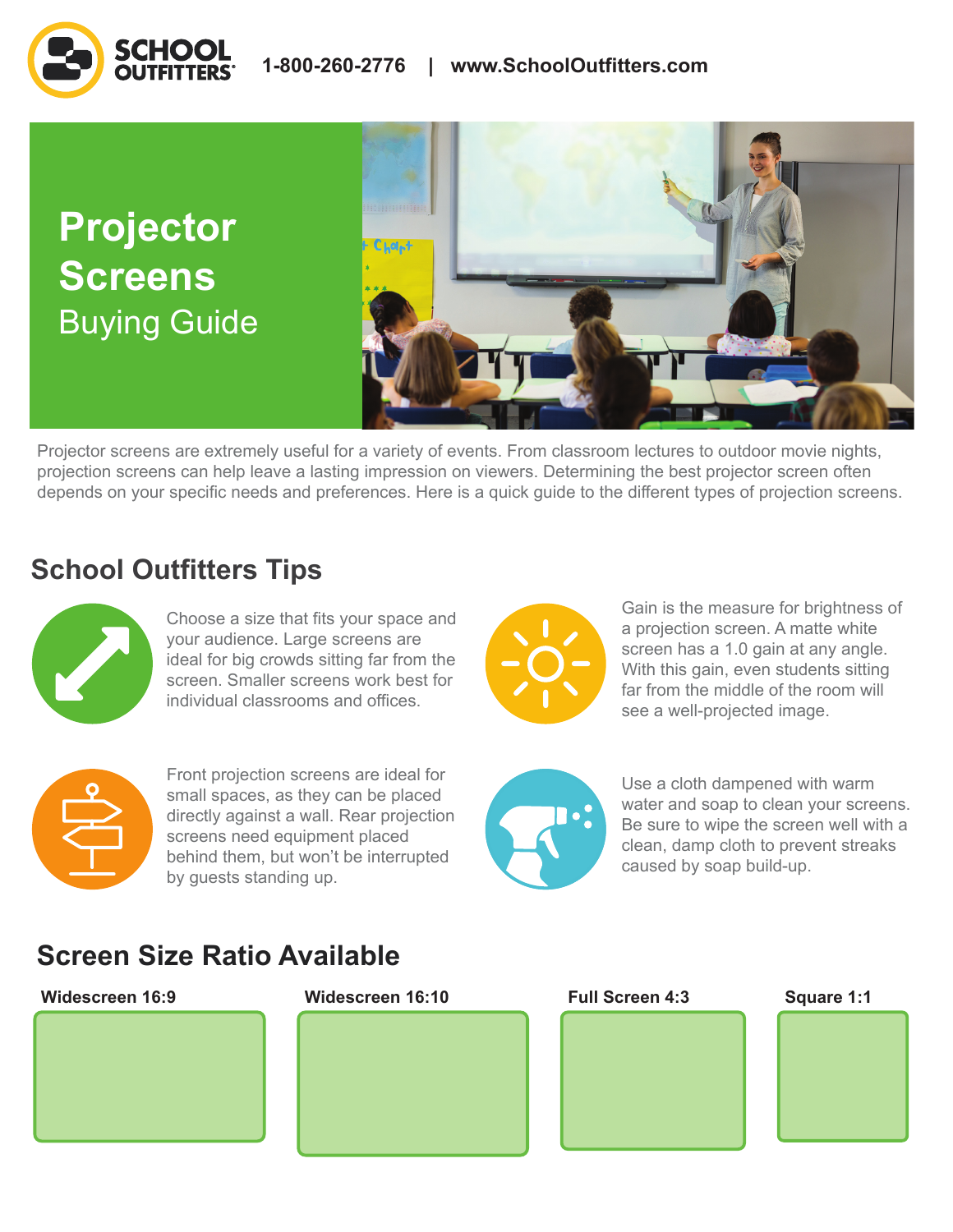**Projector Screens**  Buying Guide



Projector screens are extremely useful for a variety of events. From classroom lectures to outdoor movie nights, projection screens can help leave a lasting impression on viewers. Determining the best projector screen often depends on your specific needs and preferences. Here is a quick guide to the different types of projection screens.

# **School Outfitters Tips**



Choose a size that fits your space and your audience. Large screens are ideal for big crowds sitting far from the screen. Smaller screens work best for individual classrooms and offices.



Front projection screens are ideal for small spaces, as they can be placed directly against a wall. Rear projection screens need equipment placed behind them, but won't be interrupted by guests standing up.



Gain is the measure for brightness of a projection screen. A matte white screen has a 1.0 gain at any angle. With this gain, even students sitting far from the middle of the room will see a well-projected image.



Use a cloth dampened with warm water and soap to clean your screens. Be sure to wipe the screen well with a clean, damp cloth to prevent streaks caused by soap build-up.

# **Screen Size Ratio Available**